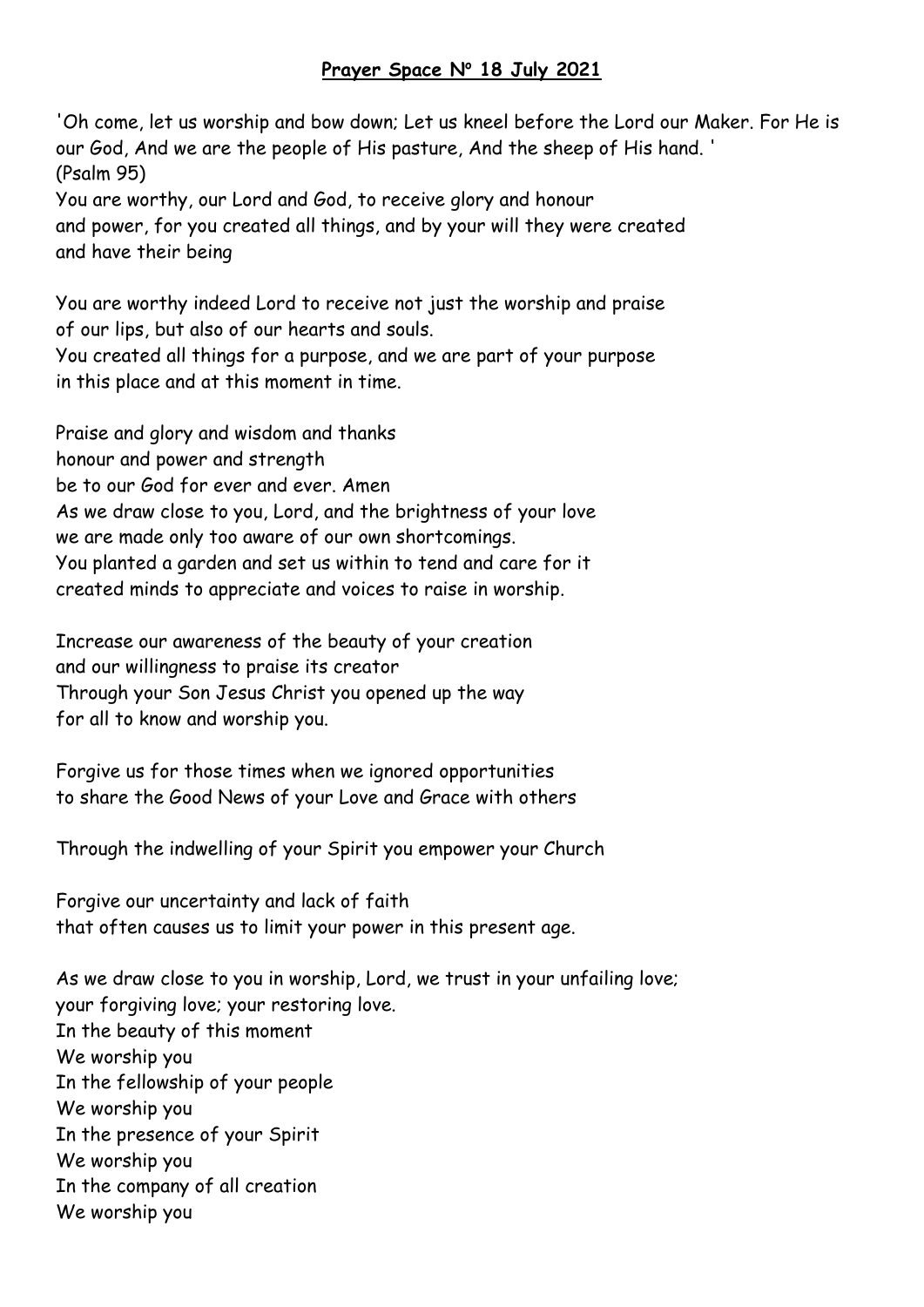## **Prayer Space N<sup>o</sup> 18 July 2021**

'Oh come, let us worship and bow down; Let us kneel before the Lord our Maker. For He is our God, And we are the people of His pasture, And the sheep of His hand. ' (Psalm 95)

You are worthy, our Lord and God, to receive glory and honour and power, for you created all things, and by your will they were created and have their being

You are worthy indeed Lord to receive not just the worship and praise of our lips, but also of our hearts and souls. You created all things for a purpose, and we are part of your purpose in this place and at this moment in time.

Praise and glory and wisdom and thanks honour and power and strength be to our God for ever and ever. Amen As we draw close to you, Lord, and the brightness of your love we are made only too aware of our own shortcomings. You planted a garden and set us within to tend and care for it created minds to appreciate and voices to raise in worship.

Increase our awareness of the beauty of your creation and our willingness to praise its creator Through your Son Jesus Christ you opened up the way for all to know and worship you.

Forgive us for those times when we ignored opportunities to share the Good News of your Love and Grace with others

Through the indwelling of your Spirit you empower your Church

Forgive our uncertainty and lack of faith that often causes us to limit your power in this present age.

As we draw close to you in worship, Lord, we trust in your unfailing love; your forgiving love; your restoring love. In the beauty of this moment We worship you In the fellowship of your people We worship you In the presence of your Spirit We worship you In the company of all creation We worship you